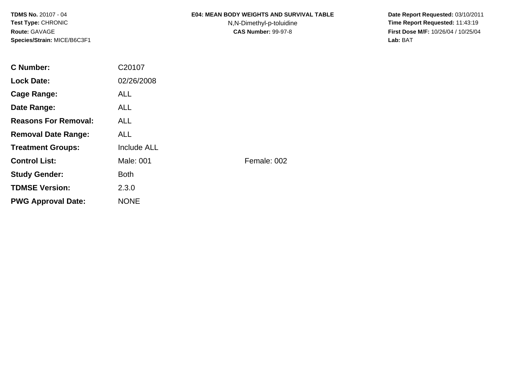#### **E04: MEAN BODY WEIGHTS AND SURVIVAL TABLE**

N,N-Dimethyl-p-toluidine

 **Date Report Requested:** 03/10/2011 **Time Report Requested:** 11:43:19 **First Dose M/F:** 10/26/04 / 10/25/04<br>Lab: BAT **Lab:** BAT

| C Number:                   | C20107             |             |
|-----------------------------|--------------------|-------------|
| <b>Lock Date:</b>           | 02/26/2008         |             |
| Cage Range:                 | ALL.               |             |
| Date Range:                 | <b>ALL</b>         |             |
| <b>Reasons For Removal:</b> | <b>ALL</b>         |             |
| <b>Removal Date Range:</b>  | <b>ALL</b>         |             |
| <b>Treatment Groups:</b>    | <b>Include ALL</b> |             |
| <b>Control List:</b>        | Male: 001          | Female: 002 |
| <b>Study Gender:</b>        | <b>Both</b>        |             |
| <b>TDMSE Version:</b>       | 2.3.0              |             |
| <b>PWG Approval Date:</b>   | <b>NONE</b>        |             |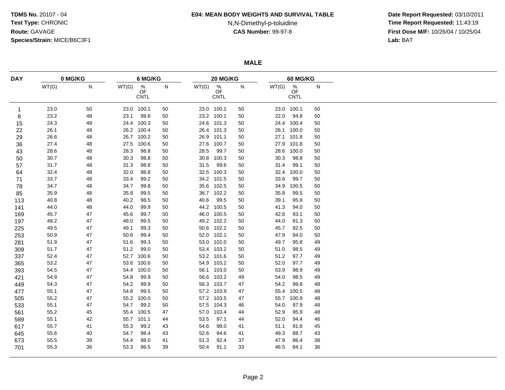#### **E04: MEAN BODY WEIGHTS AND SURVIVAL TABLE**

# N,N-Dimethyl-p-toluidine

 **Date Report Requested:** 03/10/2011 **Time Report Requested:** 11:43:19 **First Dose M/F:** 10/26/04 / 10/25/04<br>Lab: BAT **Lab:** BAT

**MALE**

| <b>DAY</b> |       | 0 MG/KG   |       | 6 MG/KG                               |    |       | 20 MG/KG                              |        | <b>60 MG/KG</b> |                                       |    |  |
|------------|-------|-----------|-------|---------------------------------------|----|-------|---------------------------------------|--------|-----------------|---------------------------------------|----|--|
|            | WT(G) | ${\sf N}$ | WT(G) | $\frac{\%}{\text{OF}}$<br><b>CNTL</b> | N  | WT(G) | $\frac{\%}{\text{OF}}$<br><b>CNTL</b> | N      | WT(G)           | $\frac{\%}{\text{OF}}$<br><b>CNTL</b> | N  |  |
| 1          | 23.0  | 50        | 23.0  | 100.1                                 | 50 |       | 23.0 100.1                            | 50     |                 | 23.0 100.1                            | 50 |  |
| 8          | 23.2  | 48        | 23.1  | 99.6                                  | 50 |       | 23.2 100.1                            | 50     | 22.0            | 94.8                                  | 50 |  |
| 15         | 24.3  | 48        |       | 24.4 100.3                            | 50 | 24.6  | 101.3                                 | 50     |                 | 24.4 100.4                            | 50 |  |
| 22         | 26.1  | 48        | 26.2  | 100.4                                 | 50 |       | 26.4 101.3                            | 50     |                 | 26.1 100.0                            | 50 |  |
| 29         | 26.6  | 48        |       | 26.7 100.2                            | 50 | 26.9  | 101.1                                 | 50     | 27.1            | 101.8                                 | 50 |  |
| 36         | 27.4  | 48        | 27.5  | 100.6                                 | 50 | 27.6  | 100.7                                 | 50     |                 | 27.9 101.8                            | 50 |  |
| 43         | 28.6  | 48        | 28.3  | 98.8                                  | 50 | 28.5  | 99.7                                  | 50     | 28.6            | 100.0                                 | 50 |  |
| 50         | 30.7  | 48        | 30.3  | 98.8                                  | 50 | 30.8  | 100.3                                 | 50     | 30.3            | 98.8                                  | 50 |  |
| 57         | 31.7  | 48        | 31.3  | 98.8                                  | 50 | 31.5  | 99.6                                  | 50     | 31.4            | 99.1                                  | 50 |  |
| 64         | 32.4  | 48        | 32.0  | 98.8                                  | 50 | 32.5  | 100.3                                 | 50     | 32.4            | 100.0                                 | 50 |  |
| 71         | 33.7  | 48        | 33.4  | 99.2                                  | 50 |       | 34.2 101.5                            | 50     | 33.6            | 99.7                                  | 50 |  |
| 78         | 34.7  | 48        | 34.7  | 99.8                                  | 50 | 35.6  | 102.5                                 | 50     | 34.9            | 100.5                                 | 50 |  |
| 85         | 35.9  | 48        | 35.8  | 99.5                                  | 50 | 36.7  | 102.2                                 | 50     | 35.8            | 99.5                                  | 50 |  |
| 113        | 40.8  | 48        | 40.2  | 98.5                                  | 50 | 40.6  | 99.5                                  | 50     | 39.1            | 95.9                                  | 50 |  |
| 141        | 44.0  | 48        | 44.0  | 99.9                                  | 50 |       | 44.2 100.5                            | 50     | 41.3            | 94.0                                  | 50 |  |
| 169        | 45.7  | 47        | 45.6  | 99.7                                  | 50 | 46.0  | 100.5                                 | 50     | 42.6            | 93.1                                  | 50 |  |
| 197        | 48.2  | 47        | 48.0  | 99.5                                  | 50 |       | 49.2 102.2                            | 50     | 44.0            | 91.3                                  | 50 |  |
| 225        | 49.5  | 47        | 49.1  | 99.3                                  | 50 |       | 50.6 102.2                            | $50\,$ | 45.7            | 92.5                                  | 50 |  |
| 253        | 50.9  | 47        | 50.6  | 99.4                                  | 50 | 52.0  | 102.1                                 | 50     | 47.9            | 94.0                                  | 50 |  |
| 281        | 51.9  | 47        | 51.6  | 99.3                                  | 50 |       | 53.0 102.0                            | 50     | 49.7            | 95.8                                  | 49 |  |
| 309        | 51.7  | 47        | 51.2  | 99.0                                  | 50 |       | 53.4 103.2                            | 50     | 51.0            | 98.5                                  | 49 |  |
| 337        | 52.4  | 47        | 52.7  | 100.6                                 | 50 | 53.2  | 101.6                                 | 50     | 51.2            | 97.7                                  | 49 |  |
| 365        | 53.2  | 47        | 53.6  | 100.6                                 | 50 | 54.9  | 103.2                                 | $50\,$ | 52.0            | 97.7                                  | 49 |  |
| 393        | 54.5  | 47        | 54.4  | 100.0                                 | 50 | 56.1  | 103.0                                 | $50\,$ | 53.9            | 98.9                                  | 49 |  |
| 421        | 54.9  | 47        | 54.8  | 99.9                                  | 50 |       | 56.6 103.2                            | 49     | 54.0            | 98.5                                  | 49 |  |
| 449        | 54.3  | 47        | 54.2  | 99.9                                  | 50 |       | 56.3 103.7                            | 47     | 54.2            | 99.8                                  | 48 |  |
| 477        | 55.1  | 47        | 54.8  | 99.5                                  | 50 | 57.2  | 103.9                                 | 47     | 55.4            | 100.5                                 | 48 |  |
|            | 55.2  | 47        | 55.2  | 100.0                                 | 50 | 57.2  | 103.5                                 | 47     | 55.7            | 100.9                                 | 48 |  |
| 505        | 55.1  | 47        | 54.7  | 99.2                                  | 50 | 57.5  | 104.3                                 | 46     | 54.0            | 97.9                                  | 48 |  |
| 533        | 55.2  | 45        | 55.4  | 100.5                                 | 47 | 57.0  | 103.4                                 |        | 52.9            | 95.9                                  | 48 |  |
| 561        |       |           |       | 101.1                                 |    | 53.5  | 97.1                                  | 44     | 52.0            | 94.4                                  | 46 |  |
| 589        | 55.1  | 42        | 55.7  | 99.2                                  | 44 | 54.6  | 98.0                                  | 44     |                 | 91.6                                  |    |  |
| 617        | 55.7  | 41        | 55.3  |                                       | 43 |       |                                       | 41     | 51.1            |                                       | 45 |  |
| 645        | 55.6  | 40        | 54.7  | 98.4                                  | 43 | 52.6  | 94.6                                  | 41     | 49.3            | 88.7                                  | 43 |  |
| 673        | 55.5  | 39        | 54.4  | 98.0                                  | 41 | 51.3  | 92.4                                  | 37     | 47.9            | 86.4                                  | 38 |  |
| 701        | 55.3  | 36        | 53.3  | 96.5                                  | 39 | 50.4  | 91.1                                  | 33     | 46.5            | 84.1                                  | 36 |  |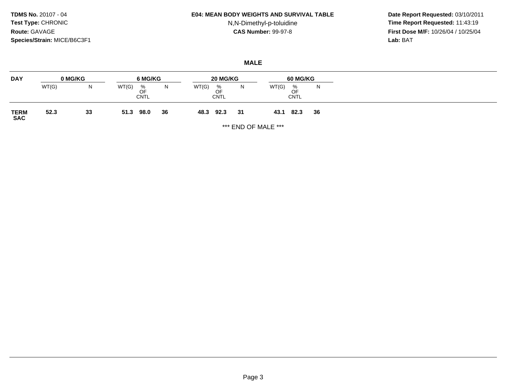#### **E04: MEAN BODY WEIGHTS AND SURVIVAL TABLE**

## N,N-Dimethyl-p-toluidine

 **Date Report Requested:** 03/10/2011 **Time Report Requested:** 11:43:19 **First Dose M/F:** 10/26/04 / 10/25/04<br>Lab: BAT **Lab:** BAT

## **MALE**

| <b>DAY</b>          | 0 MG/KG |    | 6 MG/KG                         | 20 MG/KG |       |                                       | 60 MG/KG |       |                        |    |
|---------------------|---------|----|---------------------------------|----------|-------|---------------------------------------|----------|-------|------------------------|----|
|                     | WT(G)   | N  | WT(G)<br>%<br>OF<br><b>CNTL</b> | N        | WT(G) | $\frac{\%}{\text{OF}}$<br><b>CNTL</b> | N        | WT(G) | %<br>OF<br><b>CNTL</b> | N  |
| <b>TERM<br/>SAC</b> | 52.3    | 33 | 98.0<br>51.3                    | 36       | 48.3  | 92.3                                  | 31       | 43.1  | 82.3                   | 36 |

\*\*\* END OF MALE \*\*\*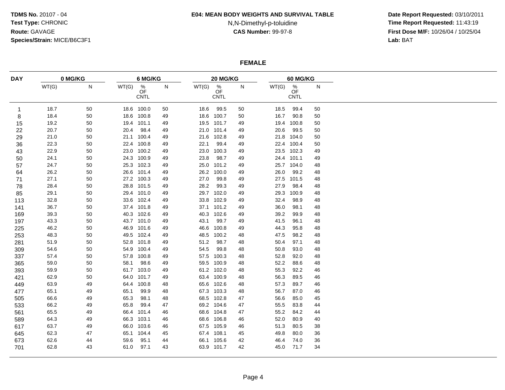#### **E04: MEAN BODY WEIGHTS AND SURVIVAL TABLE**

## N,N-Dimethyl-p-toluidine

 **Date Report Requested:** 03/10/2011 **Time Report Requested:** 11:43:19 **First Dose M/F:** 10/26/04 / 10/25/04<br>Lab: BAT **Lab:** BAT

### **FEMALE**

| <b>DAY</b>  |       | 0 MG/KG   |       | 6 MG/KG                        |    |       | 20 MG/KG                              |    |       | 60 MG/KG                            |    |  |  |
|-------------|-------|-----------|-------|--------------------------------|----|-------|---------------------------------------|----|-------|-------------------------------------|----|--|--|
|             | WT(G) | ${\sf N}$ | WT(G) | $\frac{\%}{\text{OF}}$<br>CNTL | N  | WT(G) | $\frac{\%}{\text{OF}}$<br><b>CNTL</b> | N  | WT(G) | $\overset{\%}{\mathsf{OF}}$<br>CNTL | N  |  |  |
| $\mathbf 1$ | 18.7  | 50        |       | 18.6 100.0                     | 50 | 18.6  | 99.5                                  | 50 | 18.5  | 99.4                                | 50 |  |  |
| 8           | 18.4  | 50        |       | 18.6 100.8                     | 49 | 18.6  | 100.7                                 | 50 | 16.7  | 90.8                                | 50 |  |  |
| 15          | 19.2  | 50        |       | 19.4 101.1                     | 49 | 19.5  | 101.7                                 | 49 | 19.4  | 100.8                               | 50 |  |  |
| 22          | 20.7  | 50        | 20.4  | 98.4                           | 49 | 21.0  | 101.4                                 | 49 | 20.6  | 99.5                                | 50 |  |  |
| 29          | 21.0  | 50        |       | 21.1 100.4                     | 49 | 21.6  | 102.8                                 | 49 | 21.8  | 104.0                               | 50 |  |  |
| 36          | 22.3  | 50        |       | 22.4 100.8                     | 49 | 22.1  | 99.4                                  | 49 | 22.4  | 100.4                               | 50 |  |  |
| 43          | 22.9  | 50        |       | 23.0 100.2                     | 49 | 23.0  | 100.3                                 | 49 | 23.5  | 102.3                               | 49 |  |  |
| 50          | 24.1  | 50        |       | 24.3 100.9                     | 49 | 23.8  | 98.7                                  | 49 | 24.4  | 101.1                               | 49 |  |  |
| 57          | 24.7  | 50        |       | 25.3 102.3                     | 49 | 25.0  | 101.2                                 | 49 | 25.7  | 104.0                               | 48 |  |  |
| 64          | 26.2  | 50        |       | 26.6 101.4                     | 49 | 26.2  | 100.0                                 | 49 | 26.0  | 99.2                                | 48 |  |  |
| 71          | 27.1  | 50        |       | 27.2 100.3                     | 49 | 27.0  | 99.8                                  | 49 | 27.5  | 101.5                               | 48 |  |  |
| 78          | 28.4  | 50        |       | 28.8 101.5                     | 49 | 28.2  | 99.3                                  | 49 | 27.9  | 98.4                                | 48 |  |  |
| 85          | 29.1  | 50        |       | 29.4 101.0                     | 49 | 29.7  | 102.0                                 | 49 | 29.3  | 100.9                               | 48 |  |  |
| 113         | 32.8  | 50        |       | 33.6 102.4                     | 49 | 33.8  | 102.9                                 | 49 | 32.4  | 98.9                                | 48 |  |  |
| 141         | 36.7  | 50        |       | 37.4 101.8                     | 49 | 37.1  | 101.2                                 | 49 | 36.0  | 98.1                                | 48 |  |  |
| 169         | 39.3  | 50        |       | 40.3 102.6                     | 49 | 40.3  | 102.6                                 | 49 | 39.2  | 99.9                                | 48 |  |  |
| 197         | 43.3  | 50        |       | 43.7 101.0                     | 49 | 43.1  | 99.7                                  | 49 | 41.5  | 96.1                                | 48 |  |  |
| 225         | 46.2  | 50        |       | 46.9 101.6                     | 49 | 46.6  | 100.8                                 | 49 | 44.3  | 95.8                                | 48 |  |  |
| 253         | 48.3  | 50        |       | 49.5 102.4                     | 49 | 48.5  | 100.2                                 | 48 | 47.5  | 98.2                                | 48 |  |  |
| 281         | 51.9  | 50        | 52.8  | 101.8                          | 49 | 51.2  | 98.7                                  | 48 | 50.4  | 97.1                                | 48 |  |  |
| 309         | 54.6  | 50        |       | 54.9 100.4                     | 49 | 54.5  | 99.8                                  | 48 | 50.8  | 93.0                                | 48 |  |  |
| 337         | 57.4  | 50        | 57.8  | 100.8                          | 49 | 57.5  | 100.3                                 | 48 | 52.8  | 92.0                                | 48 |  |  |
| 365         | 59.0  | 50        | 58.1  | 98.6                           | 49 | 59.5  | 100.9                                 | 48 | 52.2  | 88.6                                | 48 |  |  |
| 393         | 59.9  | 50        |       | 61.7 103.0                     | 49 |       | 61.2 102.0                            | 48 | 55.3  | 92.2                                | 46 |  |  |
| 421         | 62.9  | 50        | 64.0  | 101.7                          | 49 |       | 63.4 100.9                            | 48 | 56.3  | 89.5                                | 46 |  |  |
| 449         | 63.9  | 49        |       | 64.4 100.8                     | 48 | 65.6  | 102.6                                 | 48 | 57.3  | 89.7                                | 46 |  |  |
| 477         | 65.1  | 49        | 65.1  | 99.9                           | 48 | 67.3  | 103.3                                 | 48 | 56.7  | 87.0                                | 46 |  |  |
| 505         | 66.6  | 49        | 65.3  | 98.1                           | 48 | 68.5  | 102.8                                 | 47 | 56.6  | 85.0                                | 45 |  |  |
| 533         | 66.2  | 49        | 65.8  | 99.4                           | 47 |       | 69.2 104.6                            | 47 | 55.5  | 83.8                                | 44 |  |  |
| 561         | 65.5  | 49        | 66.4  | 101.4                          | 46 | 68.6  | 104.8                                 | 47 | 55.2  | 84.2                                | 44 |  |  |
| 589         | 64.3  | 49        | 66.3  | 103.1                          | 46 |       | 68.6 106.8                            | 46 | 52.0  | 80.9                                | 40 |  |  |
| 617         | 63.7  | 49        | 66.0  | 103.6                          | 46 |       | 67.5 105.9                            | 46 | 51.3  | 80.5                                | 38 |  |  |
| 645         | 62.3  | 47        | 65.1  | 104.4                          | 45 |       | 67.4 108.1                            | 45 | 49.8  | 80.0                                | 36 |  |  |
|             | 62.6  | 44        | 59.6  | 95.1                           | 44 | 66.1  | 105.6                                 | 42 | 46.4  | 74.0                                | 36 |  |  |
| 673<br>701  | 62.8  | 43        | 61.0  | 97.1                           | 43 |       | 63.9 101.7                            | 42 | 45.0  | 71.7                                | 34 |  |  |
|             |       |           |       |                                |    |       |                                       |    |       |                                     |    |  |  |